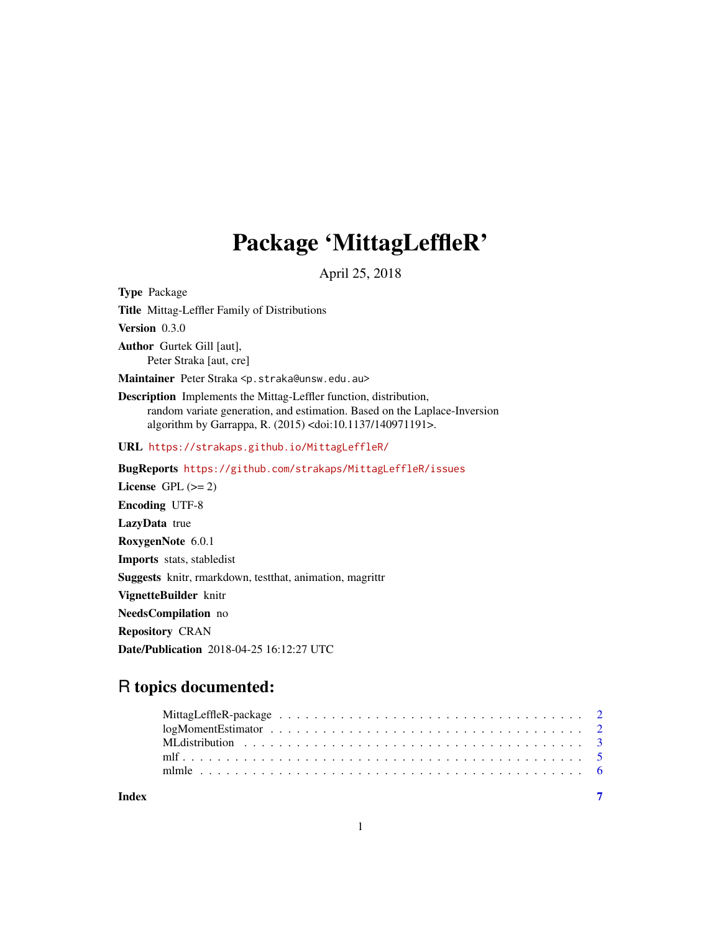## Package 'MittagLeffleR'

April 25, 2018

<span id="page-0-0"></span>Type Package Title Mittag-Leffler Family of Distributions Version 0.3.0 Author Gurtek Gill [aut], Peter Straka [aut, cre] Maintainer Peter Straka <p.straka@unsw.edu.au> Description Implements the Mittag-Leffler function, distribution, random variate generation, and estimation. Based on the Laplace-Inversion algorithm by Garrappa, R. (2015) <doi:10.1137/140971191>. URL <https://strakaps.github.io/MittagLeffleR/> BugReports <https://github.com/strakaps/MittagLeffleR/issues> License GPL  $(>= 2)$ Encoding UTF-8 LazyData true RoxygenNote 6.0.1 Imports stats, stabledist Suggests knitr, rmarkdown, testthat, animation, magrittr VignetteBuilder knitr NeedsCompilation no Repository CRAN

Date/Publication 2018-04-25 16:12:27 UTC

### R topics documented:

| Index |  |
|-------|--|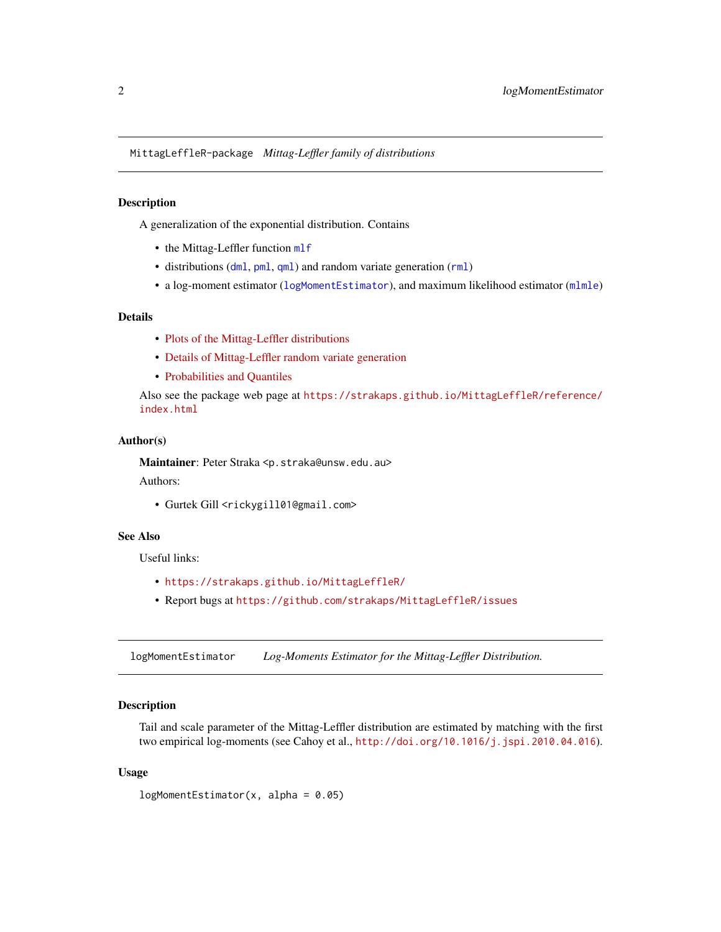<span id="page-1-0"></span>MittagLeffleR-package *Mittag-Leffler family of distributions*

#### Description

A generalization of the exponential distribution. Contains

- the Mittag-Leffler function [mlf](#page-4-1)
- distributions ([dml](#page-2-1), [pml](#page-2-1), [qml](#page-2-1)) and random variate generation ([rml](#page-2-1))
- a log-moment estimator ([logMomentEstimator](#page-1-1)), and maximum likelihood estimator ([mlmle](#page-5-1))

#### Details

- [Plots of the Mittag-Leffler distributions](https://strakaps.github.io/MittagLeffleR/articles/MLdist.html)
- [Details of Mittag-Leffler random variate generation](https://strakaps.github.io/MittagLeffleR/articles/parametrisation.html)
- [Probabilities and Quantiles](https://strakaps.github.io/MittagLeffleR/articles/probsNquantiles.html)

Also see the package web page at [https://strakaps.github.io/MittagLeffleR/reference/](https://strakaps.github.io/MittagLeffleR/reference/index.html) [index.html](https://strakaps.github.io/MittagLeffleR/reference/index.html)

#### Author(s)

Maintainer: Peter Straka <p.straka@unsw.edu.au>

Authors:

• Gurtek Gill <rickygill01@gmail.com>

#### See Also

Useful links:

- <https://strakaps.github.io/MittagLeffleR/>
- Report bugs at <https://github.com/strakaps/MittagLeffleR/issues>

<span id="page-1-1"></span>logMomentEstimator *Log-Moments Estimator for the Mittag-Leffler Distribution.*

#### Description

Tail and scale parameter of the Mittag-Leffler distribution are estimated by matching with the first two empirical log-moments (see Cahoy et al., <http://doi.org/10.1016/j.jspi.2010.04.016>).

#### Usage

 $logMomentEstimator(x, alpha = 0.05)$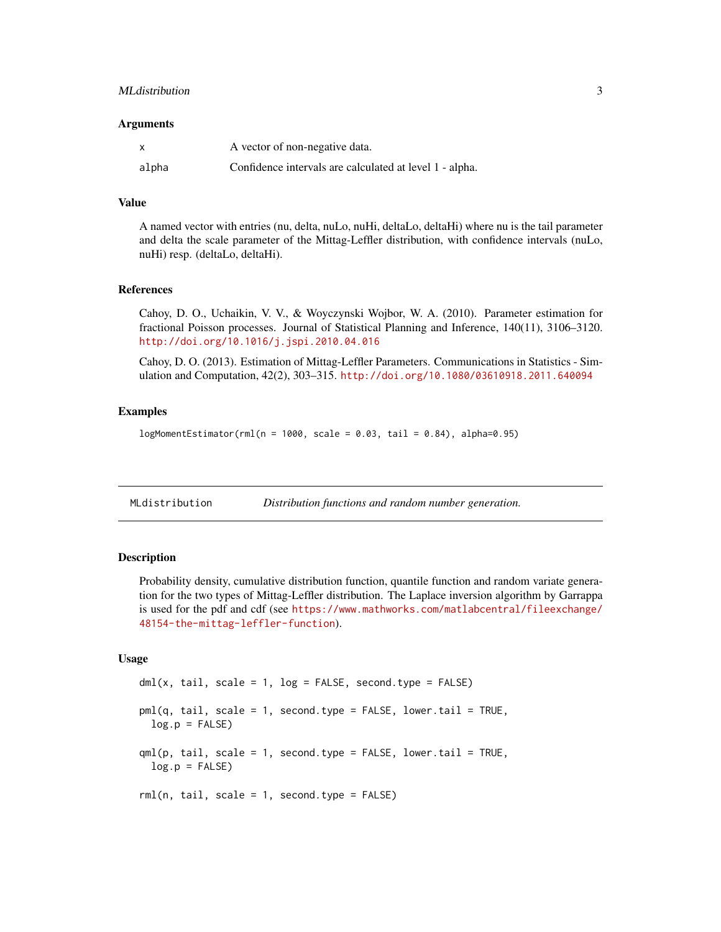#### <span id="page-2-0"></span>MLdistribution 3

#### **Arguments**

| $\boldsymbol{\mathsf{x}}$ | A vector of non-negative data.                          |
|---------------------------|---------------------------------------------------------|
| alpha                     | Confidence intervals are calculated at level 1 - alpha. |

#### Value

A named vector with entries (nu, delta, nuLo, nuHi, deltaLo, deltaHi) where nu is the tail parameter and delta the scale parameter of the Mittag-Leffler distribution, with confidence intervals (nuLo, nuHi) resp. (deltaLo, deltaHi).

#### References

Cahoy, D. O., Uchaikin, V. V., & Woyczynski Wojbor, W. A. (2010). Parameter estimation for fractional Poisson processes. Journal of Statistical Planning and Inference, 140(11), 3106–3120. <http://doi.org/10.1016/j.jspi.2010.04.016>

Cahoy, D. O. (2013). Estimation of Mittag-Leffler Parameters. Communications in Statistics - Simulation and Computation, 42(2), 303–315. <http://doi.org/10.1080/03610918.2011.640094>

#### Examples

 $logMomentEstimator(rml(n = 1000, scale = 0.03, tail = 0.84), alpha=0.95)$ 

MLdistribution *Distribution functions and random number generation.*

#### <span id="page-2-1"></span>**Description**

Probability density, cumulative distribution function, quantile function and random variate generation for the two types of Mittag-Leffler distribution. The Laplace inversion algorithm by Garrappa is used for the pdf and cdf (see [https://www.mathworks.com/matlabcentral/fileexchange/](https://www.mathworks.com/matlabcentral/fileexchange/48154-the-mittag-leffler-function) [48154-the-mittag-leffler-function](https://www.mathworks.com/matlabcentral/fileexchange/48154-the-mittag-leffler-function)).

#### Usage

 $dml(x, tail, scale = 1, log = FALSE, second_type = FALSE)$ pml(q, tail, scale = 1, second.type = FALSE, lower.tail = TRUE,  $log.p = FALSE$  $qml(p, tail, scale = 1, second-type = FALSE, lower$  $.tail = TRUE,$  $log.p = FALSE$ rml(n, tail, scale = 1, second.type = FALSE)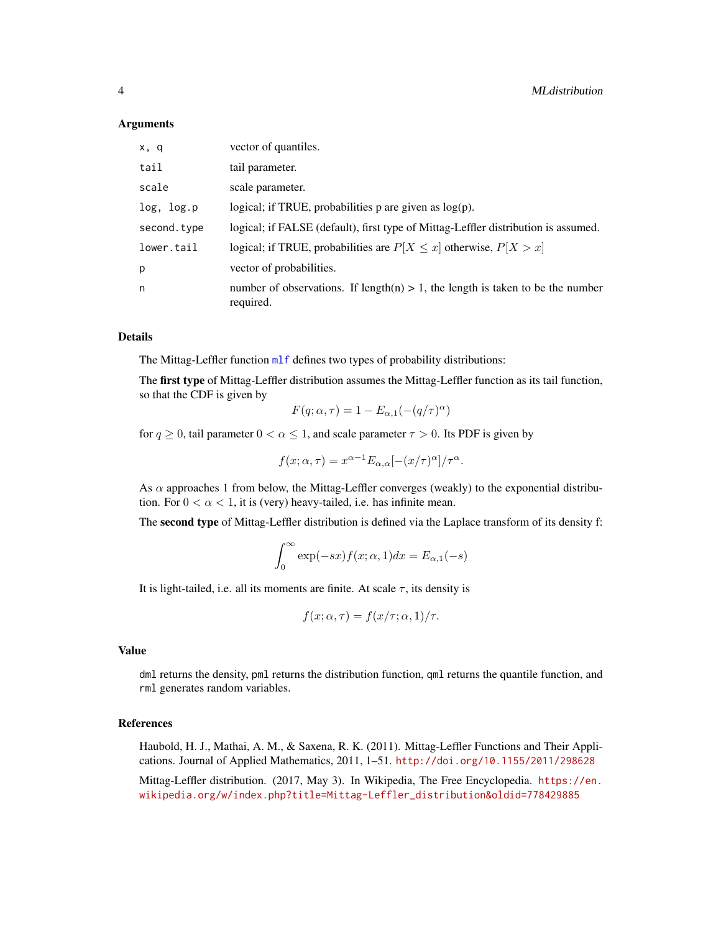#### <span id="page-3-0"></span>Arguments

| x, q        | vector of quantiles.                                                                           |
|-------------|------------------------------------------------------------------------------------------------|
| tail        | tail parameter.                                                                                |
| scale       | scale parameter.                                                                               |
| log, log.p  | logical; if TRUE, probabilities $p$ are given as $log(p)$ .                                    |
| second.type | logical; if FALSE (default), first type of Mittag-Leffler distribution is assumed.             |
| lower.tail  | logical; if TRUE, probabilities are $P[X \leq x]$ otherwise, $P[X > x]$                        |
| p           | vector of probabilities.                                                                       |
| n           | number of observations. If length(n) $> 1$ , the length is taken to be the number<br>required. |

#### Details

The Mittag-Leffler function ml f defines two types of probability distributions:

The first type of Mittag-Leffler distribution assumes the Mittag-Leffler function as its tail function, so that the CDF is given by

$$
F(q; \alpha, \tau) = 1 - E_{\alpha,1}(-(q/\tau)^{\alpha})
$$

for  $q \ge 0$ , tail parameter  $0 < \alpha \le 1$ , and scale parameter  $\tau > 0$ . Its PDF is given by

$$
f(x; \alpha, \tau) = x^{\alpha - 1} E_{\alpha, \alpha} [-(x/\tau)^{\alpha}]/\tau^{\alpha}.
$$

As  $\alpha$  approaches 1 from below, the Mittag-Leffler converges (weakly) to the exponential distribution. For  $0 < \alpha < 1$ , it is (very) heavy-tailed, i.e. has infinite mean.

The second type of Mittag-Leffler distribution is defined via the Laplace transform of its density f:

$$
\int_0^\infty \exp(-sx) f(x;\alpha,1) dx = E_{\alpha,1}(-s)
$$

It is light-tailed, i.e. all its moments are finite. At scale  $\tau$ , its density is

$$
f(x; \alpha, \tau) = f(x/\tau; \alpha, 1)/\tau.
$$

#### Value

dml returns the density, pml returns the distribution function, qml returns the quantile function, and rml generates random variables.

#### References

Haubold, H. J., Mathai, A. M., & Saxena, R. K. (2011). Mittag-Leffler Functions and Their Applications. Journal of Applied Mathematics, 2011, 1–51. <http://doi.org/10.1155/2011/298628>

Mittag-Leffler distribution. (2017, May 3). In Wikipedia, The Free Encyclopedia. [https://en.](https://en.wikipedia.org/w/index.php?title=Mittag-Leffler_distribution&oldid=778429885) [wikipedia.org/w/index.php?title=Mittag-Leffler\\_distribution&oldid=778429885](https://en.wikipedia.org/w/index.php?title=Mittag-Leffler_distribution&oldid=778429885)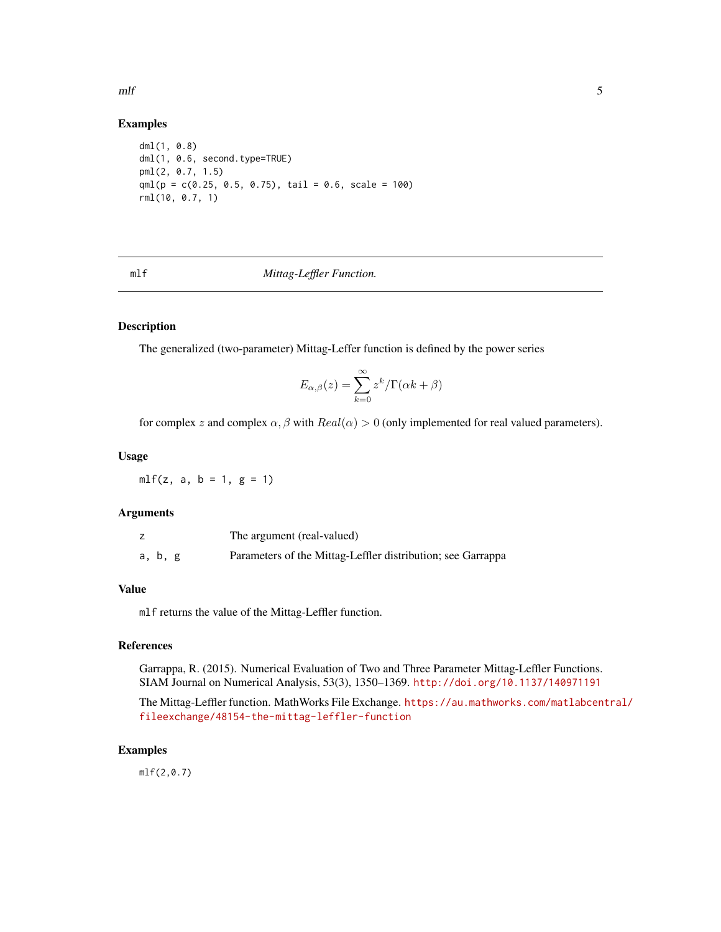<span id="page-4-0"></span> $m$   $\sim$  5

#### Examples

```
dml(1, 0.8)
dml(1, 0.6, second.type=TRUE)
pml(2, 0.7, 1.5)
qml(p = c(0.25, 0.5, 0.75), tail = 0.6, scale = 100)rml(10, 0.7, 1)
```
<span id="page-4-1"></span>

mlf *Mittag-Leffler Function.*

#### Description

The generalized (two-parameter) Mittag-Leffer function is defined by the power series

$$
E_{\alpha,\beta}(z) = \sum_{k=0}^{\infty} z^k / \Gamma(\alpha k + \beta)
$$

for complex z and complex  $\alpha$ ,  $\beta$  with  $Real(\alpha) > 0$  (only implemented for real valued parameters).

#### Usage

 $mlf(z, a, b = 1, g = 1)$ 

#### Arguments

|         | The argument (real-valued)                                  |
|---------|-------------------------------------------------------------|
| a, b, g | Parameters of the Mittag-Leffler distribution; see Garrappa |

#### Value

mlf returns the value of the Mittag-Leffler function.

#### References

Garrappa, R. (2015). Numerical Evaluation of Two and Three Parameter Mittag-Leffler Functions. SIAM Journal on Numerical Analysis, 53(3), 1350–1369. <http://doi.org/10.1137/140971191>

The Mittag-Leffler function. MathWorks File Exchange. [https://au.mathworks.com/matlabcen](https://au.mathworks.com/matlabcentral/fileexchange/48154-the-mittag-leffler-function)tral/ [fileexchange/48154-the-mittag-leffler-function](https://au.mathworks.com/matlabcentral/fileexchange/48154-the-mittag-leffler-function)

#### Examples

mlf(2,0.7)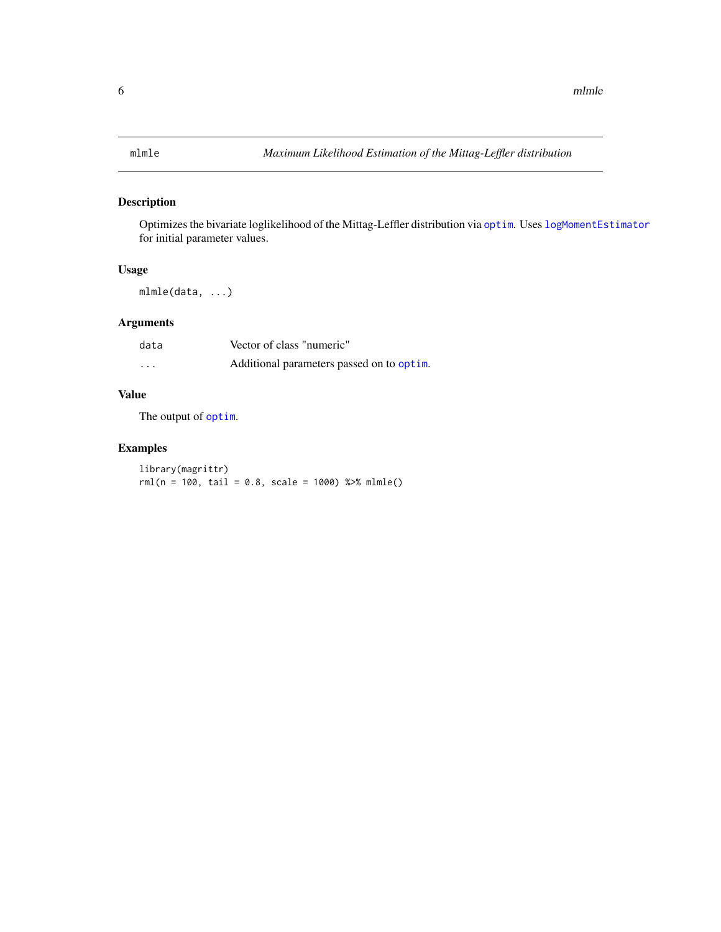#### <span id="page-5-1"></span><span id="page-5-0"></span>Description

Optimizes the bivariate loglikelihood of the Mittag-Leffler distribution via [optim](#page-0-0). Uses [logMomentEstimator](#page-1-1) for initial parameter values.

#### Usage

mlmle(data, ...)

#### Arguments

| data              | Vector of class "numeric"                 |
|-------------------|-------------------------------------------|
| $\cdot\cdot\cdot$ | Additional parameters passed on to optim. |

#### Value

The output of [optim](#page-0-0).

#### Examples

library(magrittr)  $rml(n = 100, tail = 0.8, scale = 1000) %$  %>% mlmle()